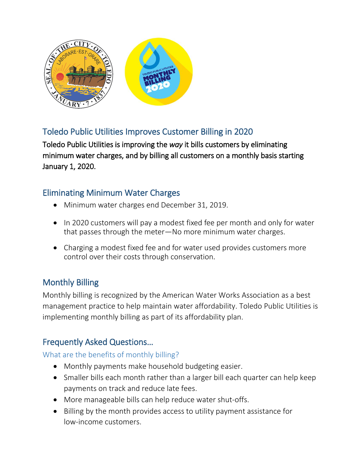

# Toledo Public Utilities Improves Customer Billing in 2020

Toledo Public Utilities is improving the *way* it bills customers by eliminating minimum water charges, and by billing all customers on a monthly basis starting January 1, 2020.

## Eliminating Minimum Water Charges

- Minimum water charges end December 31, 2019.
- In 2020 customers will pay a modest fixed fee per month and only for water that passes through the meter—No more minimum water charges.
- Charging a modest fixed fee and for water used provides customers more control over their costs through conservation.

# Monthly Billing

Monthly billing is recognized by the American Water Works Association as a best management practice to help maintain water affordability. Toledo Public Utilities is implementing monthly billing as part of its affordability plan.

## Frequently Asked Questions…

### What are the benefits of monthly billing?

- Monthly payments make household budgeting easier.
- Smaller bills each month rather than a larger bill each quarter can help keep payments on track and reduce late fees.
- More manageable bills can help reduce water shut-offs.
- Billing by the month provides access to utility payment assistance for low-income customers.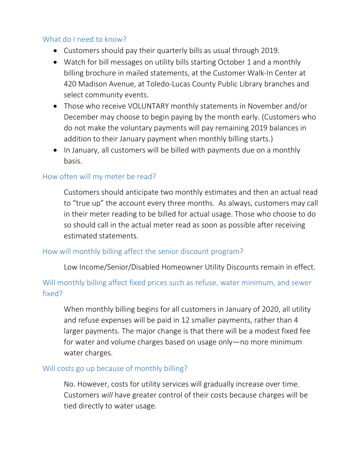### What do I need to know?

- Customers should pay their quarterly bills as usual through 2019.
- Watch for bill messages on utility bills starting October 1 and a monthly billing brochure in mailed statements, at the Customer Walk-In Center at 420 Madison Avenue, at Toledo-Lucas County Public Library branches and select community events.
- Those who receive VOLUNTARY monthly statements in November and/or December may choose to begin paying by the month early. (Customers who do not make the voluntary payments will pay remaining 2019 balances in addition to their January payment when monthly billing starts.)
- In January, all customers will be billed with payments due on a monthly basis.

#### How often will my meter be read?

Customers should anticipate two monthly estimates and then an actual read to "true up" the account every three months. As always, customers may call in their meter reading to be billed for actual usage. Those who choose to do so should call in the actual meter read as soon as possible after receiving estimated statements.

#### How will monthly billing affect the senior discount program?

Low Income/Senior/Disabled Homeowner Utility Discounts remain in effect.

### Will monthly billing affect fixed prices such as refuse, water minimum, and sewer fixed?

When monthly billing begins for all customers in January of 2020, all utility and refuse expenses will be paid in 12 smaller payments, rather than 4 larger payments. The major change is that there will be a modest fixed fee for water and volume charges based on usage only—no more minimum water charges.

#### Will costs go up because of monthly billing?

No. However, costs for utility services will gradually increase over time. Customers *will* have greater control of their costs because charges will be tied directly to water usage.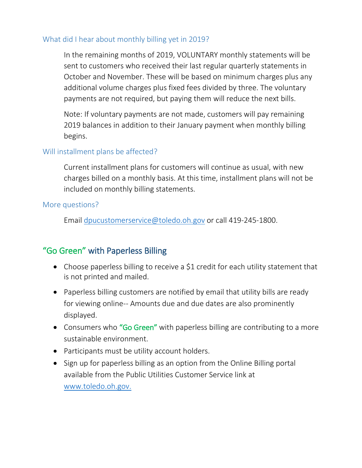#### What did I hear about monthly billing yet in 2019?

In the remaining months of 2019, VOLUNTARY monthly statements will be sent to customers who received their last regular quarterly statements in October and November. These will be based on minimum charges plus any additional volume charges plus fixed fees divided by three. The voluntary payments are not required, but paying them will reduce the next bills.

Note: If voluntary payments are not made, customers will pay remaining 2019 balances in addition to their January payment when monthly billing begins.

### Will installment plans be affected?

Current installment plans for customers will continue as usual, with new charges billed on a monthly basis. At this time, installment plans will not be included on monthly billing statements.

#### More questions?

Email [dpucustomerservice@toledo.oh.gov](mailto:dpucustomerservice@toledo.oh.gov) or call 419-245-1800.

# "Go Green" with Paperless Billing

- Choose paperless billing to receive a \$1 credit for each utility statement that is not printed and mailed.
- Paperless billing customers are notified by email that utility bills are ready for viewing online-- Amounts due and due dates are also prominently displayed.
- Consumers who "Go Green" with paperless billing are contributing to a more sustainable environment.
- Participants must be utility account holders.
- Sign up for paperless billing as an option from the Online Billing portal available from the Public Utilities Customer Service link at [www.toledo.oh.gov.](http://www.toledo.oh.gov/)